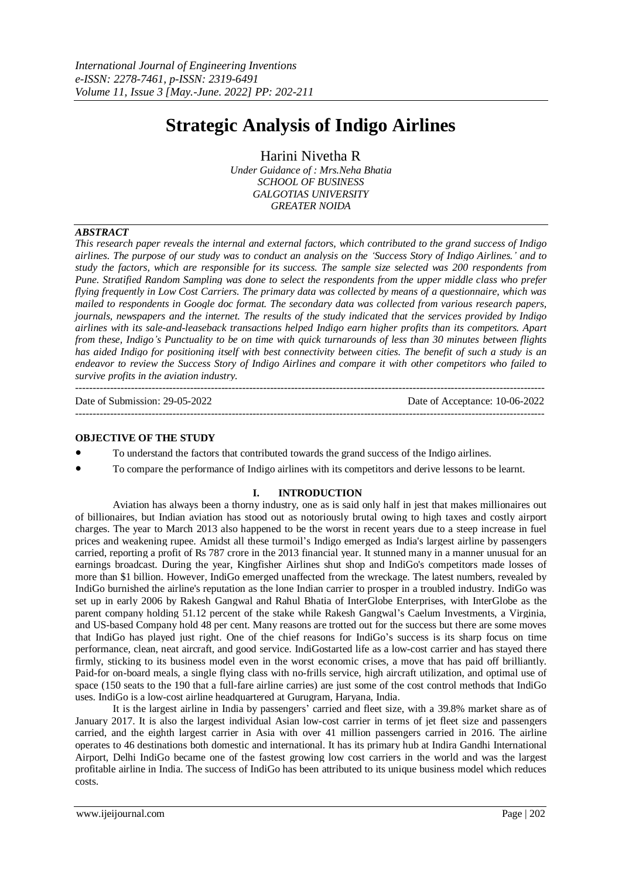# **Strategic Analysis of Indigo Airlines**

Harini Nivetha R

*Under Guidance of : Mrs.Neha Bhatia SCHOOL OF BUSINESS GALGOTIAS UNIVERSITY GREATER NOIDA*

## *ABSTRACT*

This research paper reveals the internal and external factors, which contributed to the grand success of Indigo airlines. The purpose of our study was to conduct an analysis on the 'Success Story of Indigo Airlines.' and to study the factors, which are responsible for its success. The sample size selected was 200 respondents from Pune. Stratified Random Sampling was done to select the respondents from the upper middle class who prefer flying frequently in Low Cost Carriers. The primary data was collected by means of a questionnaire, which was *mailed to respondents in Google doc format. The secondary data was collected from various research papers,* journals, newspapers and the internet. The results of the study indicated that the services provided by Indigo *airlines with its sale-and-leaseback transactions helped Indigo earn higher profits than its competitors. Apart* from these, Indigo's Punctuality to be on time with quick turnarounds of less than 30 minutes between flights has aided Indigo for positioning itself with best connectivity between cities. The benefit of such a study is an endeavor to review the Success Story of Indigo Airlines and compare it with other competitors who failed to *survive profits in the aviation industry.*

--------------------------------------------------------------------------------------------------------------------------------------- Date of Submission: 29-05-2022 Date of Acceptance: 10-06-2022 ---------------------------------------------------------------------------------------------------------------------------------------

## **OBJECTIVE OF THE STUDY**

- To understand the factors that contributed towards the grand success of the Indigo airlines.
- To compare the performance of Indigo airlines with its competitors and derive lessons to be learnt.

## **I. INTRODUCTION**

Aviation has always been a thorny industry, one as is said only half in jest that makes millionaires out of billionaires, but Indian aviation has stood out as notoriously brutal owing to high taxes and costly airport charges. The year to March 2013 also happened to be the worst in recent years due to a steep increase in fuel prices and weakening rupee. Amidst all these turmoil's Indigo emerged as India's largest airline by passengers carried, reporting a profit of Rs 787 crore in the 2013 financial year. It stunned many in a manner unusual for an earnings broadcast. During the year, Kingfisher Airlines shut shop and IndiGo's competitors made losses of more than \$1 billion. However, IndiGo emerged unaffected from the wreckage. The latest numbers, revealed by IndiGo burnished the airline's reputation as the lone Indian carrier to prosper in a troubled industry. IndiGo was set up in early 2006 by Rakesh Gangwal and Rahul Bhatia of InterGlobe Enterprises, with InterGlobe as the parent company holding 51.12 percent of the stake while Rakesh Gangwal's Caelum Investments, a Virginia, and US-based Company hold 48 per cent. Many reasons are trotted out for the success but there are some moves that IndiGo has played just right. One of the chief reasons for IndiGo's success is its sharp focus on time performance, clean, neat aircraft, and good service. IndiGostarted life as a low-cost carrier and has stayed there firmly, sticking to its business model even in the worst economic crises, a move that has paid off brilliantly. Paid-for on-board meals, a single flying class with no-frills service, high aircraft utilization, and optimal use of space (150 seats to the 190 that a full-fare airline carries) are just some of the cost control methods that IndiGo uses. IndiGo is a low-cost airline headquartered at Gurugram, Haryana, India.

It is the largest airline in India by passengers' carried and fleet size, with a 39.8% market share as of January 2017. It is also the largest individual Asian low-cost carrier in terms of jet fleet size and passengers carried, and the eighth largest carrier in Asia with over 41 million passengers carried in 2016. The airline operates to 46 destinations both domestic and international. It has its primary hub at Indira Gandhi International Airport, Delhi IndiGo became one of the fastest growing low cost carriers in the world and was the largest profitable airline in India. The success of IndiGo has been attributed to its unique business model which reduces costs.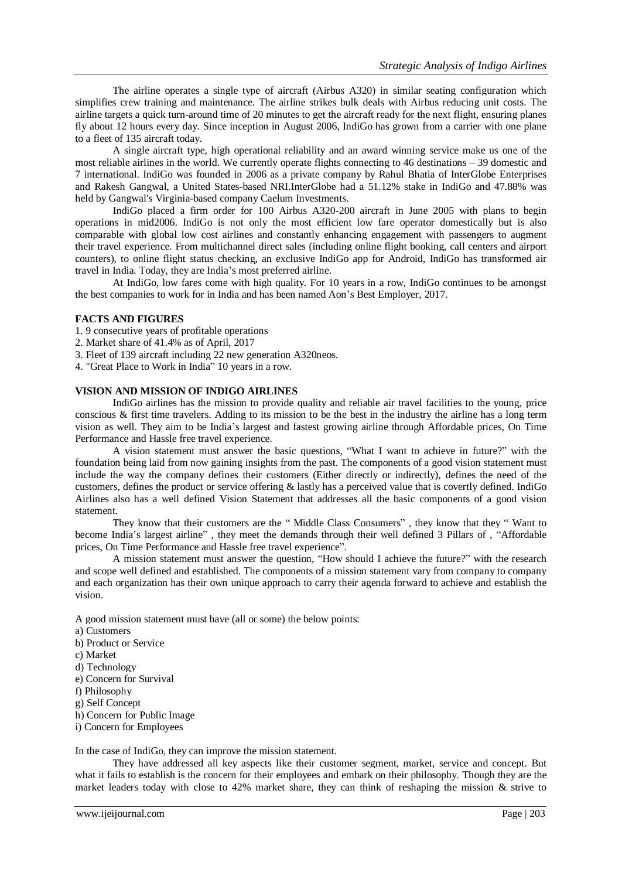The airline operates a single type of aircraft (Airbus A320) in similar seating configuration which simplifies crew training and maintenance. The airline strikes bulk deals with Airbus reducing unit costs. The airline targets a quick turn-around time of 20 minutes to get the aircraft ready for the next flight, ensuring planes fly about 12 hours every day. Since inception in August 2006, IndiGo has grown from a carrier with one plane to a fleet of 135 aircraft today.

A single aircraft type, high operational reliability and an award winning service make us one of the most reliable airlines in the world. We currently operate flights connecting to 46 destinations – 39 domestic and 7 international. IndiGo was founded in 2006 as a private company by Rahul Bhatia of InterGlobe Enterprises and Rakesh Gangwal, a United States-based NRI.InterGlobe had a 51.12% stake in IndiGo and 47.88% was held by Gangwal's Virginia-based company Caelum Investments.

IndiGo placed a firm order for 100 Airbus A320-200 aircraft in June 2005 with plans to begin operations in mid2006. IndiGo is not only the most efficient low fare operator domestically but is also comparable with global low cost airlines and constantly enhancing engagement with passengers to augment their travel experience. From multichannel direct sales (including online flight booking, call centers and airport counters), to online flight status checking, an exclusive IndiGo app for Android, IndiGo has transformed air travel in India. Today, they are India's most preferred airline.

At IndiGo, low fares come with high quality. For 10 years in a row, IndiGo continues to be amongst the best companies to work for in India and has been named Aon's Best Employer, 2017.

## **FACTS AND FIGURES**

- 1. 9 consecutive years of profitable operations
- 2. Market share of 41.4% as of April, 2017
- 3. Fleet of 139 aircraft including 22 new generation A320neos.
- 4. "Great Place to Work in India" 10 years in a row.

#### **VISION AND MISSION OF INDIGO AIRLINES**

IndiGo airlines has the mission to provide quality and reliable air travel facilities to the young, price conscious & first time travelers. Adding to its mission to be the best in the industry the airline has a long term vision as well. They aim to be India's largest and fastest growing airline through Affordable prices, On Time Performance and Hassle free travel experience.

A vision statement must answer the basic questions, "What I want to achieve in future?" with the foundation being laid from now gaining insights from the past. The components of a good vision statement must include the way the company defines their customers (Either directly or indirectly), defines the need of the customers, defines the product or service offering & lastly has a perceived value that is covertly defined. IndiGo Airlines also has a well defined Vision Statement that addresses all the basic components of a good vision statement.

They know that their customers are the " Middle Class Consumers" , they know that they " Want to become India's largest airline" , they meet the demands through their well defined 3 Pillars of , "Affordable prices, On Time Performance and Hassle free travel experience".

A mission statement must answer the question, "How should I achieve the future?" with the research and scope well defined and established. The components of a mission statement vary from company to company and each organization has their own unique approach to carry their agenda forward to achieve and establish the vision.

A good mission statement must have (all or some) the below points:

- a) Customers b) Product or Service c) Market d) Technology e) Concern for Survival f) Philosophy g) Self Concept
- h) Concern for Public Image
- i) Concern for Employees

In the case of IndiGo, they can improve the mission statement.

They have addressed all key aspects like their customer segment, market, service and concept. But what it fails to establish is the concern for their employees and embark on their philosophy. Though they are the market leaders today with close to 42% market share, they can think of reshaping the mission  $\&$  strive to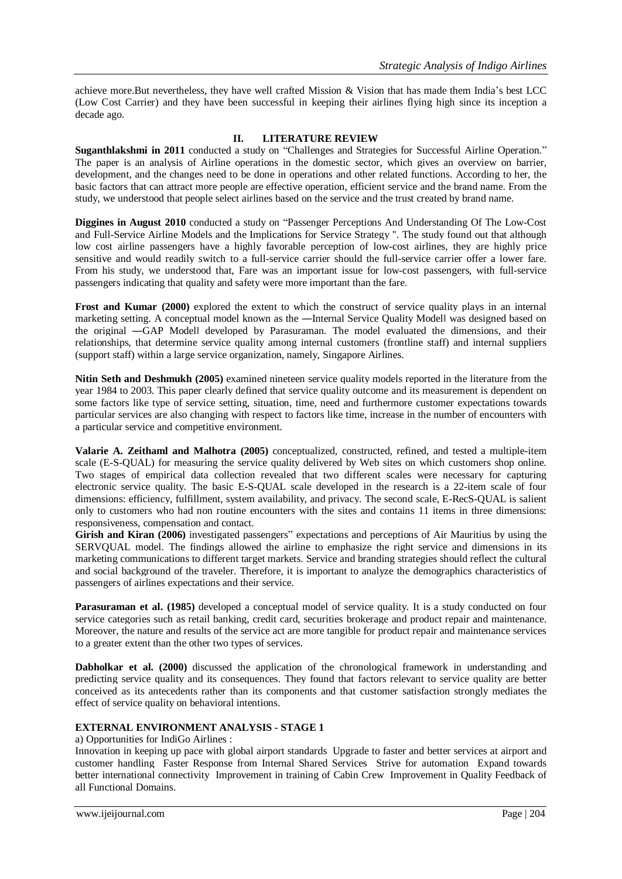achieve more.But nevertheless, they have well crafted Mission & Vision that has made them India's best LCC (Low Cost Carrier) and they have been successful in keeping their airlines flying high since its inception a decade ago.

# **II. LITERATURE REVIEW**

**Suganthlakshmi in 2011** conducted a study on "Challenges and Strategies for Successful Airline Operation." The paper is an analysis of Airline operations in the domestic sector, which gives an overview on barrier, development, and the changes need to be done in operations and other related functions. According to her, the basic factors that can attract more people are effective operation, efficient service and the brand name. From the study, we understood that people select airlines based on the service and the trust created by brand name.

**Diggines in August 2010** conducted a study on "Passenger Perceptions And Understanding Of The Low-Cost and Full-Service Airline Models and the Implications for Service Strategy ''. The study found out that although low cost airline passengers have a highly favorable perception of low-cost airlines, they are highly price sensitive and would readily switch to a full-service carrier should the full-service carrier offer a lower fare. From his study, we understood that, Fare was an important issue for low-cost passengers, with full-service passengers indicating that quality and safety were more important than the fare.

**Frost and Kumar (2000)** explored the extent to which the construct of service quality plays in an internal marketing setting. A conceptual model known as the —Internal Service Quality Modell was designed based on the original ―GAP Model‖ developed by Parasuraman. The model evaluated the dimensions, and their relationships, that determine service quality among internal customers (frontline staff) and internal suppliers (support staff) within a large service organization, namely, Singapore Airlines.

**Nitin Seth and Deshmukh (2005)** examined nineteen service quality models reported in the literature from the year 1984 to 2003. This paper clearly defined that service quality outcome and its measurement is dependent on some factors like type of service setting, situation, time, need and furthermore customer expectations towards particular services are also changing with respect to factors like time, increase in the number of encounters with a particular service and competitive environment.

**Valarie A. Zeithaml and Malhotra (2005)** conceptualized, constructed, refined, and tested a multiple-item scale (E-S-QUAL) for measuring the service quality delivered by Web sites on which customers shop online. Two stages of empirical data collection revealed that two different scales were necessary for capturing electronic service quality. The basic E-S-QUAL scale developed in the research is a 22-item scale of four dimensions: efficiency, fulfillment, system availability, and privacy. The second scale, E-RecS-QUAL is salient only to customers who had non routine encounters with the sites and contains 11 items in three dimensions: responsiveness, compensation and contact.

**Girish and Kiran (2006)** investigated passengers" expectations and perceptions of Air Mauritius by using the SERVQUAL model. The findings allowed the airline to emphasize the right service and dimensions in its marketing communications to different target markets. Service and branding strategies should reflect the cultural and social background of the traveler. Therefore, it is important to analyze the demographics characteristics of passengers of airlines expectations and their service.

**Parasuraman et al. (1985)** developed a conceptual model of service quality. It is a study conducted on four service categories such as retail banking, credit card, securities brokerage and product repair and maintenance. Moreover, the nature and results of the service act are more tangible for product repair and maintenance services to a greater extent than the other two types of services.

**Dabholkar et al. (2000)** discussed the application of the chronological framework in understanding and predicting service quality and its consequences. They found that factors relevant to service quality are better conceived as its antecedents rather than its components and that customer satisfaction strongly mediates the effect of service quality on behavioral intentions.

# **EXTERNAL ENVIRONMENT ANALYSIS - STAGE 1**

a) Opportunities for IndiGo Airlines :

Innovation in keeping up pace with global airport standards Upgrade to faster and better services at airport and customer handling Faster Response from Internal Shared Services Strive for automation Expand towards better international connectivity Improvement in training of Cabin Crew Improvement in Quality Feedback of all Functional Domains.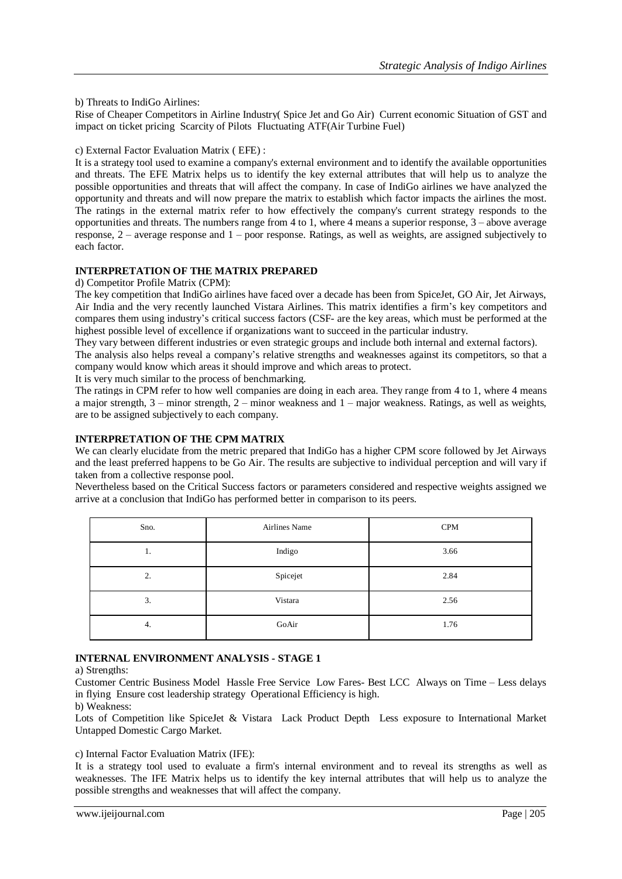b) Threats to IndiGo Airlines:

Rise of Cheaper Competitors in Airline Industry( Spice Jet and Go Air) Current economic Situation of GST and impact on ticket pricing Scarcity of Pilots Fluctuating ATF(Air Turbine Fuel)

## c) External Factor Evaluation Matrix ( EFE) :

It is a strategy tool used to examine a company's external environment and to identify the available opportunities and threats. The EFE Matrix helps us to identify the key external attributes that will help us to analyze the possible opportunities and threats that will affect the company. In case of IndiGo airlines we have analyzed the opportunity and threats and will now prepare the matrix to establish which factor impacts the airlines the most. The ratings in the external matrix refer to how effectively the company's current strategy responds to the opportunities and threats. The numbers range from 4 to 1, where 4 means a superior response,  $3$  – above average response, 2 – average response and 1 – poor response. Ratings, as well as weights, are assigned subjectively to each factor.

## **INTERPRETATION OF THE MATRIX PREPARED**

d) Competitor Profile Matrix (CPM):

The key competition that IndiGo airlines have faced over a decade has been from SpiceJet, GO Air, Jet Airways, Air India and the very recently launched Vistara Airlines. This matrix identifies a firm's key competitors and compares them using industry's critical success factors (CSF- are the key areas, which must be performed at the highest possible level of excellence if organizations want to succeed in the particular industry.

They vary between different industries or even strategic groups and include both internal and external factors).

The analysis also helps reveal a company's relative strengths and weaknesses against its competitors, so that a company would know which areas it should improve and which areas to protect.

It is very much similar to the process of benchmarking.

The ratings in CPM refer to how well companies are doing in each area. They range from 4 to 1, where 4 means a major strength, 3 – minor strength, 2 – minor weakness and 1 – major weakness. Ratings, as well as weights, are to be assigned subjectively to each company.

# **INTERPRETATION OF THE CPM MATRIX**

We can clearly elucidate from the metric prepared that IndiGo has a higher CPM score followed by Jet Airways and the least preferred happens to be Go Air. The results are subjective to individual perception and will vary if taken from a collective response pool.

Nevertheless based on the Critical Success factors or parameters considered and respective weights assigned we arrive at a conclusion that IndiGo has performed better in comparison to its peers.

| Sno. | Airlines Name | <b>CPM</b> |
|------|---------------|------------|
| 1.   | Indigo        | 3.66       |
| 2.   | Spicejet      | 2.84       |
| 3.   | Vistara       | 2.56       |
| 4.   | GoAir         | 1.76       |

# **INTERNAL ENVIRONMENT ANALYSIS - STAGE 1**

a) Strengths:

Customer Centric Business Model Hassle Free Service Low Fares- Best LCC Always on Time – Less delays in flying Ensure cost leadership strategy Operational Efficiency is high.

b) Weakness:

Lots of Competition like SpiceJet & Vistara Lack Product Depth Less exposure to International Market Untapped Domestic Cargo Market.

## c) Internal Factor Evaluation Matrix (IFE):

It is a strategy tool used to evaluate a firm's internal environment and to reveal its strengths as well as weaknesses. The IFE Matrix helps us to identify the key internal attributes that will help us to analyze the possible strengths and weaknesses that will affect the company.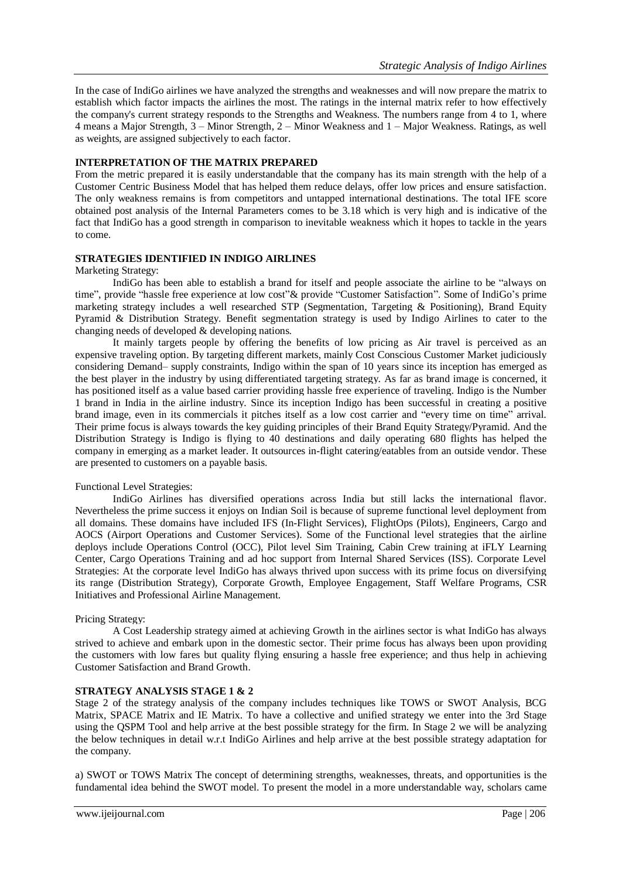In the case of IndiGo airlines we have analyzed the strengths and weaknesses and will now prepare the matrix to establish which factor impacts the airlines the most. The ratings in the internal matrix refer to how effectively the company's current strategy responds to the Strengths and Weakness. The numbers range from 4 to 1, where 4 means a Major Strength, 3 – Minor Strength, 2 – Minor Weakness and 1 – Major Weakness. Ratings, as well as weights, are assigned subjectively to each factor.

### **INTERPRETATION OF THE MATRIX PREPARED**

From the metric prepared it is easily understandable that the company has its main strength with the help of a Customer Centric Business Model that has helped them reduce delays, offer low prices and ensure satisfaction. The only weakness remains is from competitors and untapped international destinations. The total IFE score obtained post analysis of the Internal Parameters comes to be 3.18 which is very high and is indicative of the fact that IndiGo has a good strength in comparison to inevitable weakness which it hopes to tackle in the years to come.

## **STRATEGIES IDENTIFIED IN INDIGO AIRLINES**

#### Marketing Strategy:

IndiGo has been able to establish a brand for itself and people associate the airline to be "always on time", provide "hassle free experience at low cost"& provide "Customer Satisfaction". Some of IndiGo's prime marketing strategy includes a well researched STP (Segmentation, Targeting & Positioning), Brand Equity Pyramid & Distribution Strategy. Benefit segmentation strategy is used by Indigo Airlines to cater to the changing needs of developed & developing nations.

It mainly targets people by offering the benefits of low pricing as Air travel is perceived as an expensive traveling option. By targeting different markets, mainly Cost Conscious Customer Market judiciously considering Demand– supply constraints, Indigo within the span of 10 years since its inception has emerged as the best player in the industry by using differentiated targeting strategy. As far as brand image is concerned, it has positioned itself as a value based carrier providing hassle free experience of traveling. Indigo is the Number 1 brand in India in the airline industry. Since its inception Indigo has been successful in creating a positive brand image, even in its commercials it pitches itself as a low cost carrier and "every time on time" arrival. Their prime focus is always towards the key guiding principles of their Brand Equity Strategy/Pyramid. And the Distribution Strategy is Indigo is flying to 40 destinations and daily operating 680 flights has helped the company in emerging as a market leader. It outsources in-flight catering/eatables from an outside vendor. These are presented to customers on a payable basis.

## Functional Level Strategies:

IndiGo Airlines has diversified operations across India but still lacks the international flavor. Nevertheless the prime success it enjoys on Indian Soil is because of supreme functional level deployment from all domains. These domains have included IFS (In-Flight Services), FlightOps (Pilots), Engineers, Cargo and AOCS (Airport Operations and Customer Services). Some of the Functional level strategies that the airline deploys include Operations Control (OCC), Pilot level Sim Training, Cabin Crew training at iFLY Learning Center, Cargo Operations Training and ad hoc support from Internal Shared Services (ISS). Corporate Level Strategies: At the corporate level IndiGo has always thrived upon success with its prime focus on diversifying its range (Distribution Strategy), Corporate Growth, Employee Engagement, Staff Welfare Programs, CSR Initiatives and Professional Airline Management.

## Pricing Strategy:

A Cost Leadership strategy aimed at achieving Growth in the airlines sector is what IndiGo has always strived to achieve and embark upon in the domestic sector. Their prime focus has always been upon providing the customers with low fares but quality flying ensuring a hassle free experience; and thus help in achieving Customer Satisfaction and Brand Growth.

## **STRATEGY ANALYSIS STAGE 1 & 2**

Stage 2 of the strategy analysis of the company includes techniques like TOWS or SWOT Analysis, BCG Matrix, SPACE Matrix and IE Matrix. To have a collective and unified strategy we enter into the 3rd Stage using the QSPM Tool and help arrive at the best possible strategy for the firm. In Stage 2 we will be analyzing the below techniques in detail w.r.t IndiGo Airlines and help arrive at the best possible strategy adaptation for the company.

a) SWOT or TOWS Matrix The concept of determining strengths, weaknesses, threats, and opportunities is the fundamental idea behind the SWOT model. To present the model in a more understandable way, scholars came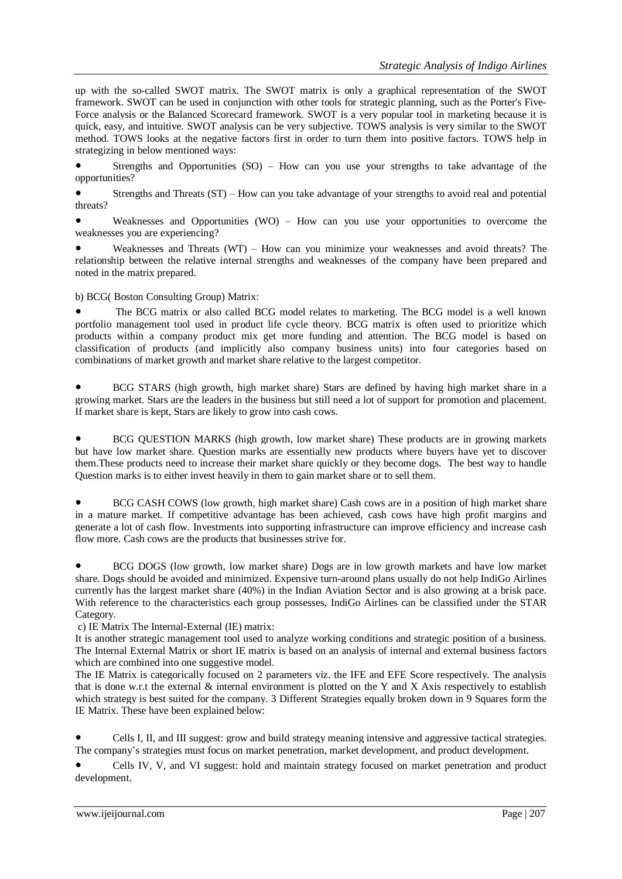up with the so-called SWOT matrix. The SWOT matrix is only a graphical representation of the SWOT framework. SWOT can be used in conjunction with other tools for strategic planning, such as the Porter's Five-Force analysis or the Balanced Scorecard framework. SWOT is a very popular tool in marketing because it is quick, easy, and intuitive. SWOT analysis can be very subjective. TOWS analysis is very similar to the SWOT method. TOWS looks at the negative factors first in order to turn them into positive factors. TOWS help in strategizing in below mentioned ways:

Strengths and Opportunities  $(SO)$  – How can you use your strengths to take advantage of the opportunities?

Strengths and Threats (ST) – How can you take advantage of your strengths to avoid real and potential threats?

Weaknesses and Opportunities (WO) – How can you use your opportunities to overcome the weaknesses you are experiencing?

Weaknesses and Threats (WT) – How can you minimize your weaknesses and avoid threats? The relationship between the relative internal strengths and weaknesses of the company have been prepared and noted in the matrix prepared.

b) BCG( Boston Consulting Group) Matrix:

• The BCG matrix or also called BCG model relates to marketing. The BCG model is a well known portfolio management tool used in product life cycle theory. BCG matrix is often used to prioritize which products within a company product mix get more funding and attention. The BCG model is based on classification of products (and implicitly also company business units) into four categories based on combinations of market growth and market share relative to the largest competitor.

BCG STARS (high growth, high market share) Stars are defined by having high market share in a growing market. Stars are the leaders in the business but still need a lot of support for promotion and placement. If market share is kept, Stars are likely to grow into cash cows.

BCG QUESTION MARKS (high growth, low market share) These products are in growing markets but have low market share. Question marks are essentially new products where buyers have yet to discover them.These products need to increase their market share quickly or they become dogs. The best way to handle Question marks is to either invest heavily in them to gain market share or to sell them.

BCG CASH COWS (low growth, high market share) Cash cows are in a position of high market share in a mature market. If competitive advantage has been achieved, cash cows have high profit margins and generate a lot of cash flow. Investments into supporting infrastructure can improve efficiency and increase cash flow more. Cash cows are the products that businesses strive for.

BCG DOGS (low growth, low market share) Dogs are in low growth markets and have low market share. Dogs should be avoided and minimized. Expensive turn-around plans usually do not help IndiGo Airlines currently has the largest market share (40%) in the Indian Aviation Sector and is also growing at a brisk pace. With reference to the characteristics each group possesses, IndiGo Airlines can be classified under the STAR Category.

c) IE Matrix The Internal-External (IE) matrix:

It is another strategic management tool used to analyze working conditions and strategic position of a business. The Internal External Matrix or short IE matrix is based on an analysis of internal and external business factors which are combined into one suggestive model.

The IE Matrix is categorically focused on 2 parameters viz. the IFE and EFE Score respectively. The analysis that is done w.r.t the external  $\&$  internal environment is plotted on the Y and X Axis respectively to establish which strategy is best suited for the company. 3 Different Strategies equally broken down in 9 Squares form the IE Matrix. These have been explained below:

Cells I, II, and III suggest: grow and build strategy meaning intensive and aggressive tactical strategies. The company's strategies must focus on market penetration, market development, and product development.

Cells IV, V, and VI suggest: hold and maintain strategy focused on market penetration and product development.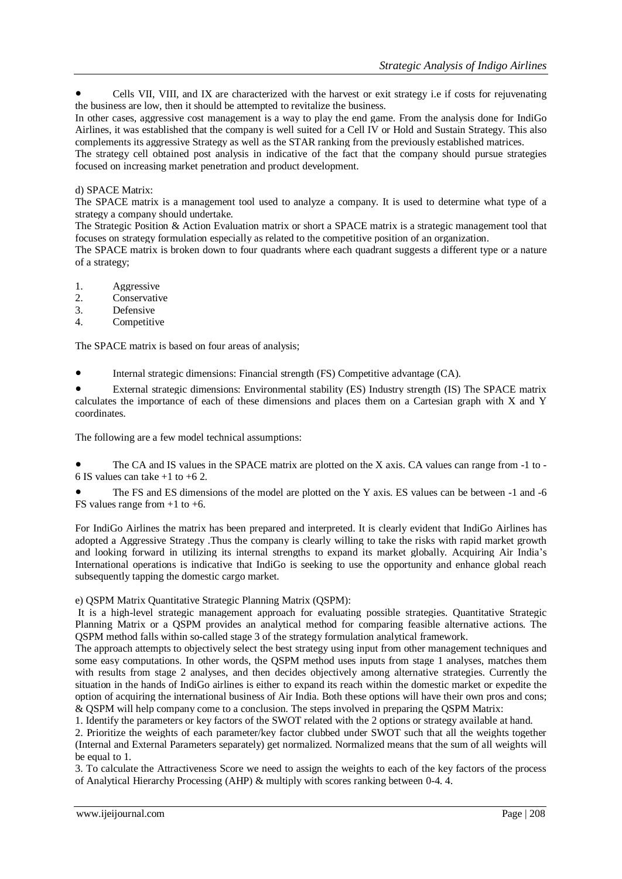Cells VII, VIII, and IX are characterized with the harvest or exit strategy i.e if costs for rejuvenating the business are low, then it should be attempted to revitalize the business.

In other cases, aggressive cost management is a way to play the end game. From the analysis done for IndiGo Airlines, it was established that the company is well suited for a Cell IV or Hold and Sustain Strategy. This also complements its aggressive Strategy as well as the STAR ranking from the previously established matrices.

The strategy cell obtained post analysis in indicative of the fact that the company should pursue strategies focused on increasing market penetration and product development.

## d) SPACE Matrix:

The SPACE matrix is a management tool used to analyze a company. It is used to determine what type of a strategy a company should undertake.

The Strategic Position & Action Evaluation matrix or short a SPACE matrix is a strategic management tool that focuses on strategy formulation especially as related to the competitive position of an organization.

The SPACE matrix is broken down to four quadrants where each quadrant suggests a different type or a nature of a strategy;

- 1. Aggressive
- 2. Conservative
- 3. Defensive
- 4. Competitive

The SPACE matrix is based on four areas of analysis;

Internal strategic dimensions: Financial strength (FS) Competitive advantage (CA).

External strategic dimensions: Environmental stability (ES) Industry strength (IS) The SPACE matrix calculates the importance of each of these dimensions and places them on a Cartesian graph with X and Y coordinates.

The following are a few model technical assumptions:

The CA and IS values in the SPACE matrix are plotted on the X axis. CA values can range from  $-1$  to -6 IS values can take +1 to +6 2.

The FS and ES dimensions of the model are plotted on the Y axis. ES values can be between -1 and -6 FS values range from  $+1$  to  $+6$ .

For IndiGo Airlines the matrix has been prepared and interpreted. It is clearly evident that IndiGo Airlines has adopted a Aggressive Strategy .Thus the company is clearly willing to take the risks with rapid market growth and looking forward in utilizing its internal strengths to expand its market globally. Acquiring Air India's International operations is indicative that IndiGo is seeking to use the opportunity and enhance global reach subsequently tapping the domestic cargo market.

## e) QSPM Matrix Quantitative Strategic Planning Matrix (QSPM):

It is a high-level strategic management approach for evaluating possible strategies. Quantitative Strategic Planning Matrix or a QSPM provides an analytical method for comparing feasible alternative actions. The QSPM method falls within so-called stage 3 of the strategy formulation analytical framework.

The approach attempts to objectively select the best strategy using input from other management techniques and some easy computations. In other words, the QSPM method uses inputs from stage 1 analyses, matches them with results from stage 2 analyses, and then decides objectively among alternative strategies. Currently the situation in the hands of IndiGo airlines is either to expand its reach within the domestic market or expedite the option of acquiring the international business of Air India. Both these options will have their own pros and cons; & QSPM will help company come to a conclusion. The steps involved in preparing the QSPM Matrix:

1. Identify the parameters or key factors of the SWOT related with the 2 options or strategy available at hand.

2. Prioritize the weights of each parameter/key factor clubbed under SWOT such that all the weights together (Internal and External Parameters separately) get normalized. Normalized means that the sum of all weights will be equal to 1.

3. To calculate the Attractiveness Score we need to assign the weights to each of the key factors of the process of Analytical Hierarchy Processing (AHP) & multiply with scores ranking between 0-4. 4.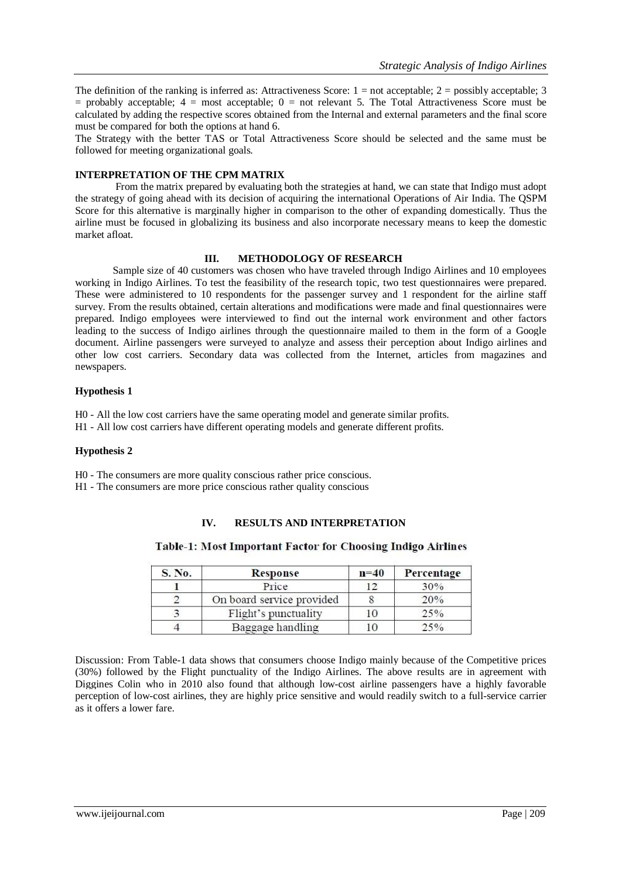The definition of the ranking is inferred as: Attractiveness Score:  $1 =$  not acceptable;  $2 =$  possibly acceptable; 3  $=$  probably acceptable;  $4 =$  most acceptable;  $0 =$  not relevant 5. The Total Attractiveness Score must be calculated by adding the respective scores obtained from the Internal and external parameters and the final score must be compared for both the options at hand 6.

The Strategy with the better TAS or Total Attractiveness Score should be selected and the same must be followed for meeting organizational goals.

## **INTERPRETATION OF THE CPM MATRIX**

From the matrix prepared by evaluating both the strategies at hand, we can state that Indigo must adopt the strategy of going ahead with its decision of acquiring the international Operations of Air India. The QSPM Score for this alternative is marginally higher in comparison to the other of expanding domestically. Thus the airline must be focused in globalizing its business and also incorporate necessary means to keep the domestic market afloat.

# **III. METHODOLOGY OF RESEARCH**

Sample size of 40 customers was chosen who have traveled through Indigo Airlines and 10 employees working in Indigo Airlines. To test the feasibility of the research topic, two test questionnaires were prepared. These were administered to 10 respondents for the passenger survey and 1 respondent for the airline staff survey. From the results obtained, certain alterations and modifications were made and final questionnaires were prepared. Indigo employees were interviewed to find out the internal work environment and other factors leading to the success of Indigo airlines through the questionnaire mailed to them in the form of a Google document. Airline passengers were surveyed to analyze and assess their perception about Indigo airlines and other low cost carriers. Secondary data was collected from the Internet, articles from magazines and newspapers.

## **Hypothesis 1**

H0 - All the low cost carriers have the same operating model and generate similar profits.

H1 - All low cost carriers have different operating models and generate different profits.

## **Hypothesis 2**

H0 - The consumers are more quality conscious rather price conscious.

H1 - The consumers are more price conscious rather quality conscious

# **IV. RESULTS AND INTERPRETATION**

## Table-1: Most Important Factor for Choosing Indigo Airlines

| S. No. | Response                  | $n=40$ | Percentage |
|--------|---------------------------|--------|------------|
|        | Price                     | 12     | 30%        |
|        | On board service provided |        | 20%        |
|        | Flight's punctuality      | 10     | 25%        |
|        | Baggage handling          | 10     | 25%        |

Discussion: From Table-1 data shows that consumers choose Indigo mainly because of the Competitive prices (30%) followed by the Flight punctuality of the Indigo Airlines. The above results are in agreement with Diggines Colin who in 2010 also found that although low-cost airline passengers have a highly favorable perception of low-cost airlines, they are highly price sensitive and would readily switch to a full-service carrier as it offers a lower fare.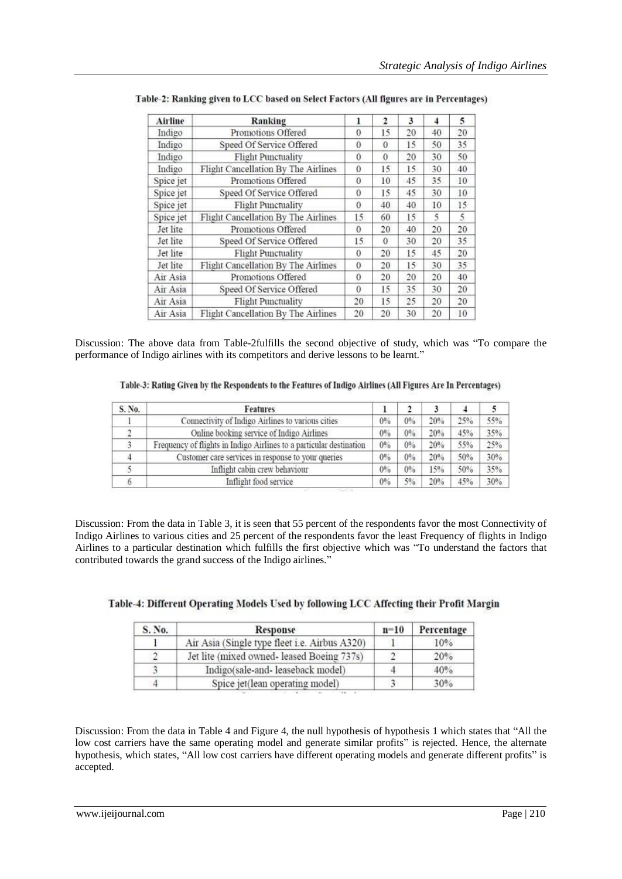| Airline   | Ranking                             |              | $\overline{2}$ | 3  | 4  | 5  |
|-----------|-------------------------------------|--------------|----------------|----|----|----|
| Indigo    | Promotions Offered                  | 0            | 15             | 20 | 40 | 20 |
| Indigo    | Speed Of Service Offered            | $\bf{0}$     | $\theta$       | 15 | 50 | 35 |
| Indigo    | <b>Flight Punctuality</b>           | 0            | $\theta$       | 20 | 30 | 50 |
| Indigo    | Flight Cancellation By The Airlines | $\mathbf{0}$ | 15             | 15 | 30 | 40 |
| Spice jet | Promotions Offered                  | $\bf{0}$     | 10             | 45 | 35 | 10 |
| Spice jet | Speed Of Service Offered            | 0            | 15             | 45 | 30 | 10 |
| Spice jet | <b>Flight Punctuality</b>           | $\theta$     | 40             | 40 | 10 | 15 |
| Spice jet | Flight Cancellation By The Airlines | 15           | 60             | 15 | 5  | 5  |
| Jet lite  | Promotions Offered                  | $\theta$     | 20             | 40 | 20 | 20 |
| Jet lite  | Speed Of Service Offered            | 15.          | $\theta$       | 30 | 20 | 35 |
| Jet lite  | <b>Flight Punctuality</b>           | $\Omega$     | 20             | 15 | 45 | 20 |
| Jet lite  | Flight Cancellation By The Airlines | $\Omega$     | 20             | 15 | 30 | 35 |
| Air Asia  | Promotions Offered                  | 0            | 20             | 20 | 20 | 40 |
| Air Asia  | Speed Of Service Offered            | $\mathbf{0}$ | 15             | 35 | 30 | 20 |
| Air Asia  | <b>Flight Punctuality</b>           | 20           | 15             | 25 | 20 | 20 |
| Air Asia  | Flight Cancellation By The Airlines | 20           | 20             | 30 | 20 | 10 |

| Table-2: Ranking given to LCC based on Select Factors (All figures are in Percentages) |  |
|----------------------------------------------------------------------------------------|--|
|                                                                                        |  |

Discussion: The above data from Table-2fulfills the second objective of study, which was "To compare the performance of Indigo airlines with its competitors and derive lessons to be learnt."

| Table-3: Rating Given by the Respondents to the Features of Indigo Airlines (All Figures Are In Percentages) |  |
|--------------------------------------------------------------------------------------------------------------|--|
|--------------------------------------------------------------------------------------------------------------|--|

| S. No. | Features                                                            |    |       |     |     |     |
|--------|---------------------------------------------------------------------|----|-------|-----|-----|-----|
|        | Connectivity of Indigo Airlines to various cities                   | 0% | $0\%$ | 20% | 25% | 55% |
|        | Online booking service of Indigo Airlines                           | 0% | 0%    | 20% | 45% | 35% |
|        | Frequency of flights in Indigo Airlines to a particular destination | 0% | 0%    | 20% | 55% | 25% |
|        | Customer care services in response to your queries                  | 0% | 0%    | 20% | 50% | 30% |
|        | Inflight cabin crew behaviour                                       | 0% | 0%    | 15% | 50% | 35% |
| O      | Inflight food service                                               | 0% | $5\%$ | 20% | 45% | 30% |

Discussion: From the data in Table 3, it is seen that 55 percent of the respondents favor the most Connectivity of Indigo Airlines to various cities and 25 percent of the respondents favor the least Frequency of flights in Indigo Airlines to a particular destination which fulfills the first objective which was "To understand the factors that contributed towards the grand success of the Indigo airlines."

| Table-4: Different Operating Models Used by following LCC Affecting their Profit Margin |  |  |  |
|-----------------------------------------------------------------------------------------|--|--|--|

| S. No. | Response                                      | $n=10$ | Percentage |
|--------|-----------------------------------------------|--------|------------|
|        | Air Asia (Single type fleet i.e. Airbus A320) |        | 10%        |
|        | Jet lite (mixed owned- leased Boeing 737s)    |        | 20%        |
|        | Indigo(sale-and- leaseback model)             |        | 40%        |
|        | Spice jet(lean operating model)               |        | 30%        |

Discussion: From the data in Table 4 and Figure 4, the null hypothesis of hypothesis 1 which states that "All the low cost carriers have the same operating model and generate similar profits" is rejected. Hence, the alternate hypothesis, which states, "All low cost carriers have different operating models and generate different profits" is accepted.